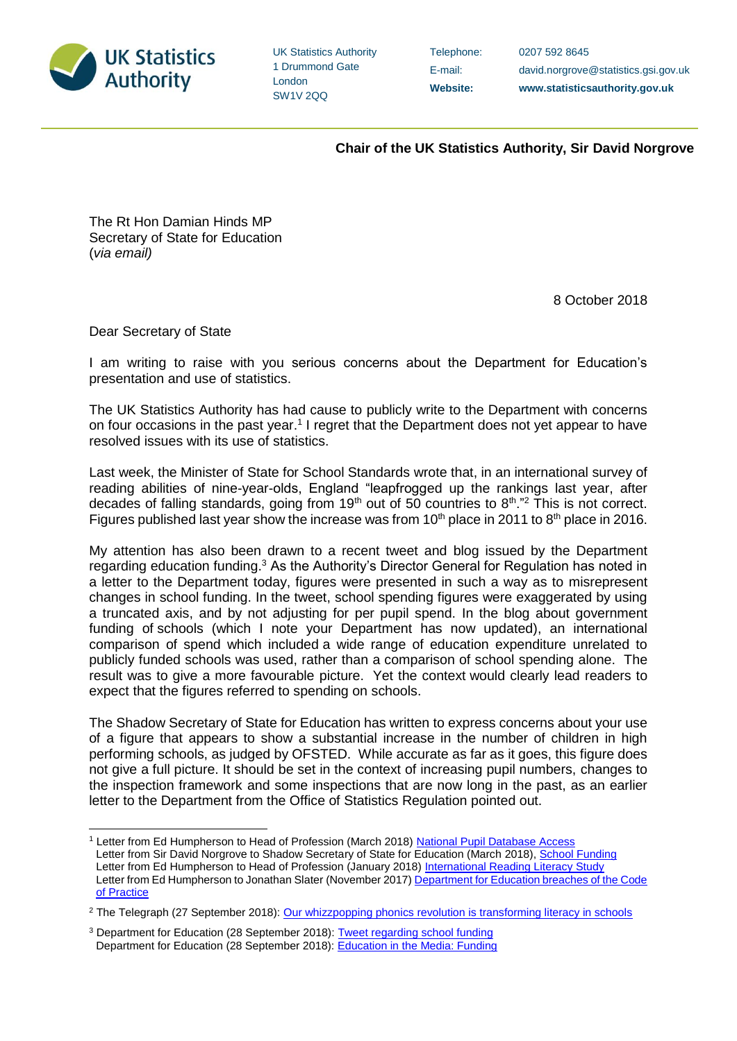

UK Statistics Authority 1 Drummond Gate London SW1V 2QQ

Telephone: 0207 592 8645

E-mail: david.norgrove@statistics.gsi.gov.uk **Website: www.statisticsauthority.gov.uk**

 **Chair of the UK Statistics Authority, Sir David Norgrove**

The Rt Hon Damian Hinds MP Secretary of State for Education (*via email)*

8 October 2018

Dear Secretary of State

-

I am writing to raise with you serious concerns about the Department for Education's presentation and use of statistics.

The UK Statistics Authority has had cause to publicly write to the Department with concerns on four occasions in the past year.<sup>1</sup> I regret that the Department does not yet appear to have resolved issues with its use of statistics.

Last week, the Minister of State for School Standards wrote that, in an international survey of reading abilities of nine-year-olds, England "leapfrogged up the rankings last year, after decades of falling standards, going from  $19<sup>th</sup>$  out of 50 countries to  $8<sup>th</sup>$ ."<sup>2</sup> This is not correct. Figures published last year show the increase was from  $10<sup>th</sup>$  place in 2011 to  $8<sup>th</sup>$  place in 2016.

My attention has also been drawn to a recent tweet and blog issued by the Department regarding education funding.<sup>3</sup> As the Authority's Director General for Regulation has noted in a letter to the Department today, figures were presented in such a way as to misrepresent changes in school funding. In the tweet, school spending figures were exaggerated by using a truncated axis, and by not adjusting for per pupil spend. In the blog about government funding of schools (which I note your Department has now updated), an international comparison of spend which included a wide range of education expenditure unrelated to publicly funded schools was used, rather than a comparison of school spending alone. The result was to give a more favourable picture. Yet the context would clearly lead readers to expect that the figures referred to spending on schools.

The Shadow Secretary of State for Education has written to express concerns about your use of a figure that appears to show a substantial increase in the number of children in high performing schools, as judged by OFSTED. While accurate as far as it goes, this figure does not give a full picture. It should be set in the context of increasing pupil numbers, changes to the inspection framework and some inspections that are now long in the past, as an earlier letter to the Department from the Office of Statistics Regulation pointed out.

<sup>&</sup>lt;sup>1</sup> Letter from Ed Humpherson to Head of Profession (March 2018) [National Pupil Database Access](https://www.statisticsauthority.gov.uk/wp-content/uploads/2018/03/Letter-Ed-Humpherson-to-Neil-McIvor.pdf) Letter from Sir David Norgrove to Shadow Secretary of State for Education (March 2018), [School Funding](https://www.statisticsauthority.gov.uk/wp-content/uploads/2018/03/20180308_Letter_to_Angela_Rayner_Education_funding.pdf) Letter from Ed Humpherson to Head of Profession (January 2018) [International Reading Literacy Study](https://www.statisticsauthority.gov.uk/wp-content/uploads/2018/01/PIRLS-Ed-Humpherson-to-Neil-McIvor.pdf) Letter from Ed Humpherson to Jonathan Slater (November 2017) Department for Education breaches of the Code [of Practice](https://www.statisticsauthority.gov.uk/correspondence/department-for-education-breaches-of-the-code-of-practice/)

<sup>&</sup>lt;sup>2</sup> The Telegraph (27 September 2018): [Our whizzpopping phonics revolution is transforming literacy in schools](https://www.telegraph.co.uk/news/2018/09/27/whizzpopping-phonics-revolution-transforming-literacy-schools/)

<sup>&</sup>lt;sup>3</sup> Department for Education (28 September 2018): [Tweet regarding school funding](https://twitter.com/educationgovuk/status/1045595622949163009) Department for Education (28 September 2018): [Education in the Media: Funding](https://dfemedia.blog.gov.uk/2018/09/28/education-in-the-media-friday-28-september-2018/)